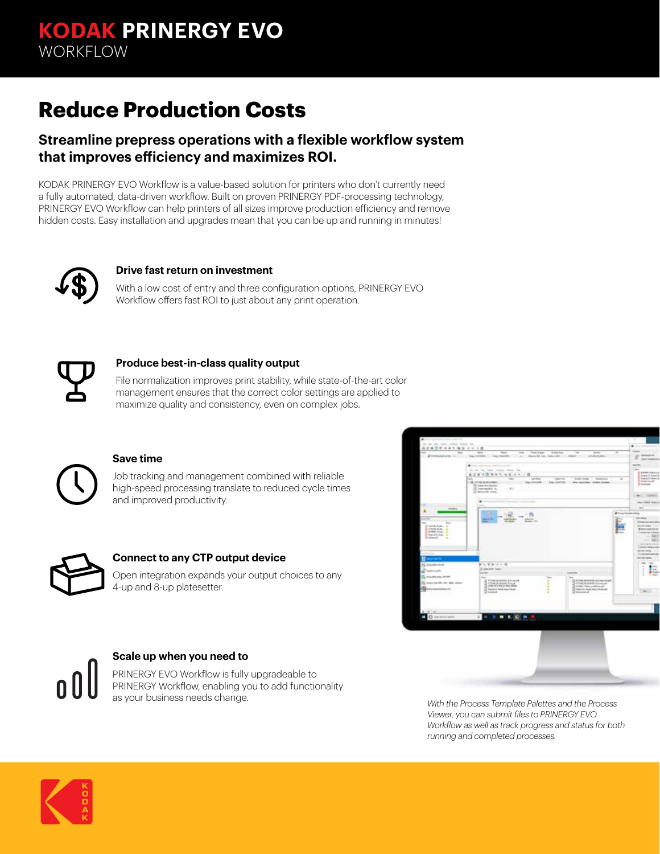# **Reduce Production Costs**

### **Streamline prepress operations with a flexible workflow system that improves efficiency and maximizes ROI.**

KODAK PRINERGY EVO Workflow is a value-based solution for printers who don't currently need a fully automated, data-driven workflow. Built on proven PRINERGY PDF-processing technology, PRINERGY EVO Workflow can help printers of all sizes improve production efficiency and remove hidden costs. Easy installation and upgrades mean that you can be up and running in minutes!



#### **Drive fast return on investment**

With a low cost of entry and three configuration options, PRINERGY EVO Workflow offers fast ROI to just about any print operation.



#### **Produce best-in-class quality output**

File normalization improves print stability, while state-of-the-art color management ensures that the correct color settings are applied to maximize quality and consistency, even on complex jobs.



#### **Save time**

Job tracking and management combined with reliable high-speed processing translate to reduced cycle times and improved productivity.



#### **Connect to any CTP output device**

Open integration expands your output choices to any 4-up and 8-up platesetter.





*Viewer, you can submit files to PRINERGY EVO Workflow as well as track progress and status for both running and completed processes.*